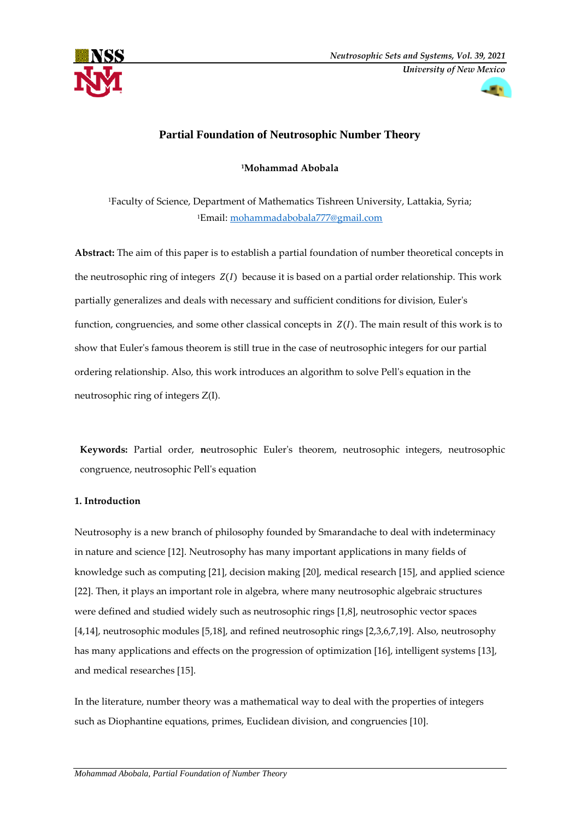



# **Partial Foundation of Neutrosophic Number Theory**

**<sup>1</sup>Mohammad Abobala** 

<sup>1</sup>Faculty of Science, Department of Mathematics Tishreen University, Lattakia, Syria; <sup>1</sup>Email: [mohammadabobala777@gmail.com](mailto:mohammadabobala777@gmail.com)

**Abstract:** The aim of this paper is to establish a partial foundation of number theoretical concepts in the neutrosophic ring of integers  $Z(I)$  because it is based on a partial order relationship. This work partially generalizes and deals with necessary and sufficient conditions for division, Euler's function, congruencies, and some other classical concepts in  $Z(I)$ . The main result of this work is to show that Euler's famous theorem is still true in the case of neutrosophic integers for our partial ordering relationship. Also, this work introduces an algorithm to solve Pell's equation in the neutrosophic ring of integers Z(I).

**Keywords:** Partial order, **n**eutrosophic Euler's theorem, neutrosophic integers, neutrosophic congruence, neutrosophic Pell's equation

## **1. Introduction**

Neutrosophy is a new branch of philosophy founded by Smarandache to deal with indeterminacy in nature and science [12]. Neutrosophy has many important applications in many fields of knowledge such as computing [21], decision making [20], medical research [15], and applied science [22]. Then, it plays an important role in algebra, where many neutrosophic algebraic structures were defined and studied widely such as neutrosophic rings [1,8], neutrosophic vector spaces [4,14], neutrosophic modules [5,18], and refined neutrosophic rings [2,3,6,7,19]. Also, neutrosophy has many applications and effects on the progression of optimization [16], intelligent systems [13], and medical researches [15].

In the literature, number theory was a mathematical way to deal with the properties of integers such as Diophantine equations, primes, Euclidean division, and congruencies [10].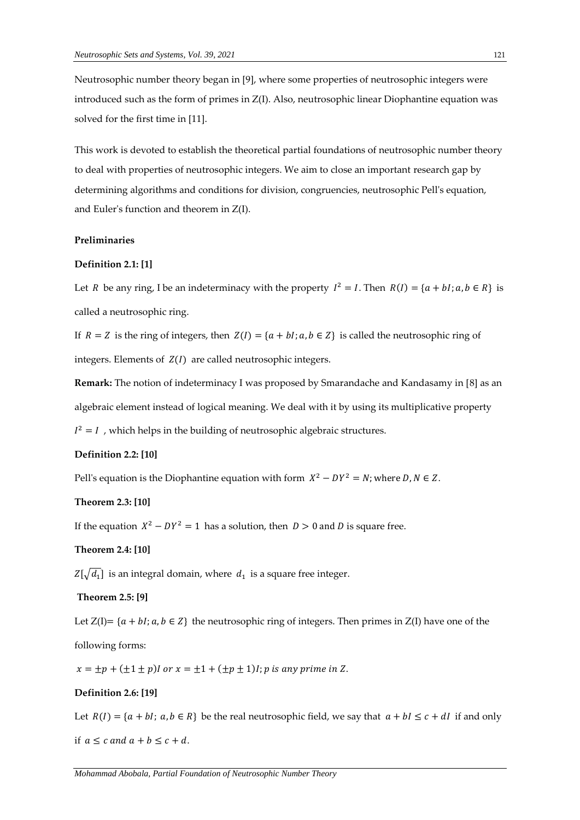Neutrosophic number theory began in [9], where some properties of neutrosophic integers were introduced such as the form of primes in Z(I). Also, neutrosophic linear Diophantine equation was solved for the first time in [11].

This work is devoted to establish the theoretical partial foundations of neutrosophic number theory to deal with properties of neutrosophic integers. We aim to close an important research gap by determining algorithms and conditions for division, congruencies, neutrosophic Pell's equation, and Euler's function and theorem in Z(I).

## **Preliminaries**

### **Definition 2.1: [1]**

Let *R* be any ring, I be an indeterminacy with the property  $I^2 = I$ . Then  $R(I) = \{a + bl : a, b \in R\}$  is called a neutrosophic ring.

If  $R = Z$  is the ring of integers, then  $Z(I) = \{a + bl; a, b \in Z\}$  is called the neutrosophic ring of integers. Elements of  $Z(I)$  are called neutrosophic integers.

**Remark:** The notion of indeterminacy I was proposed by Smarandache and Kandasamy in [8] as an algebraic element instead of logical meaning. We deal with it by using its multiplicative property  $I^2 = I$ , which helps in the building of neutrosophic algebraic structures.

## **Definition 2.2: [10]**

Pell's equation is the Diophantine equation with form  $X^2 - DY^2 = N$ ; where  $D, N \in Z$ .

#### **Theorem 2.3: [10]**

If the equation  $X^2 - DY^2 = 1$  has a solution, then  $D > 0$  and D is square free.

## **Theorem 2.4: [10]**

 $Z[\sqrt{d_1}]$  is an integral domain, where  $\,d_1\,$  is a square free integer.

#### **Theorem 2.5: [9]**

Let  $Z(I) = \{a + bl; a, b \in Z\}$  the neutrosophic ring of integers. Then primes in  $Z(I)$  have one of the following forms:

 $x = \pm p + (\pm 1 \pm p)I$  or  $x = \pm 1 + (\pm p \pm 1)I$ ; p is any prime in Z.

## **Definition 2.6: [19]**

Let  $R(I) = \{a + bl; a, b \in R\}$  be the real neutrosophic field, we say that  $a + bl \leq c + dl$  if and only if  $a \leq c$  and  $a + b \leq c + d$ .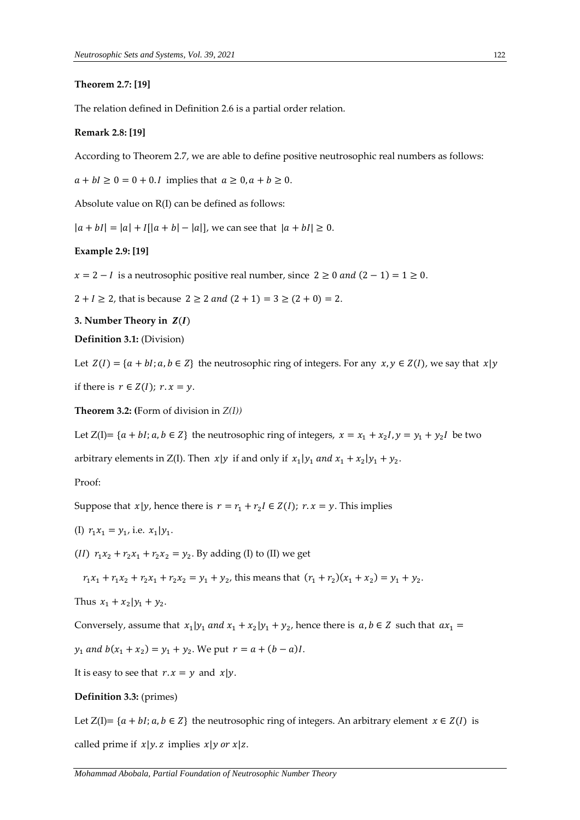### **Theorem 2.7: [19]**

The relation defined in Definition 2.6 is a partial order relation.

## **Remark 2.8: [19]**

According to Theorem 2.7, we are able to define positive neutrosophic real numbers as follows:

 $a + bI \ge 0 = 0 + 0$ . *I* implies that  $a \ge 0$ ,  $a + b \ge 0$ .

Absolute value on R(I) can be defined as follows:

 $|a + bI| = |a| + |I||a + b| - |a||$ , we can see that  $|a + bI| \ge 0$ .

## **Example 2.9: [19]**

 $x = 2 - I$  is a neutrosophic positive real number, since  $2 \ge 0$  and  $(2 - 1) = 1 \ge 0$ .

 $2 + I \ge 2$ , that is because  $2 \ge 2$  *and*  $(2 + 1) = 3 \ge (2 + 0) = 2$ .

**3. Number Theory in**  $Z(I)$ 

**Definition 3.1:** (Division)

Let  $Z(I) = \{a + bl; a, b \in \mathbb{Z}\}\$  the neutrosophic ring of integers. For any  $x, y \in Z(I)$ , we say that  $x|y$ 

if there is  $r \in Z(I)$ ;  $r \cdot x = y$ .

**Theorem 3.2: (**Form of division in *Z(I))*

Let  $Z(I) = \{a + bl; a, b \in Z\}$  the neutrosophic ring of integers,  $x = x_1 + x_2I$ ,  $y = y_1 + y_2I$  be two

arbitrary elements in  $Z(I)$ . Then  $x|y$  if and only if  $x_1|y_1$  and  $x_1 + x_2|y_1 + y_2$ .

## Proof:

Suppose that  $x|y$ , hence there is  $r = r_1 + r_2 I \in Z(I)$ ;  $r \cdot x = y$ . This implies

(I)  $r_1 x_1 = y_1$ , i.e.  $x_1 | y_1$ .

(*II*)  $r_1x_2 + r_2x_1 + r_2x_2 = y_2$ . By adding (I) to (II) we get

 $r_1x_1 + r_1x_2 + r_2x_1 + r_2x_2 = y_1 + y_2$ , this means that  $(r_1 + r_2)(x_1 + x_2) = y_1 + y_2$ .

Thus 
$$
x_1 + x_2 | y_1 + y_2
$$
.

Conversely, assume that  $x_1 | y_1$  and  $x_1 + x_2 | y_1 + y_2$ , hence there is  $a, b \in \mathbb{Z}$  such that  $ax_1 =$ 

 $y_1$  and  $b(x_1 + x_2) = y_1 + y_2$ . We put  $r = a + (b - a)I$ .

It is easy to see that  $r \cdot x = y$  and  $x | y$ .

## **Definition 3.3:** (primes)

Let  $Z(I) = \{a + bl; a, b \in Z\}$  the neutrosophic ring of integers. An arbitrary element  $x \in Z(I)$  is called prime if  $x|y \cdot z$  implies  $x|y \cdot y \cdot x|z$ .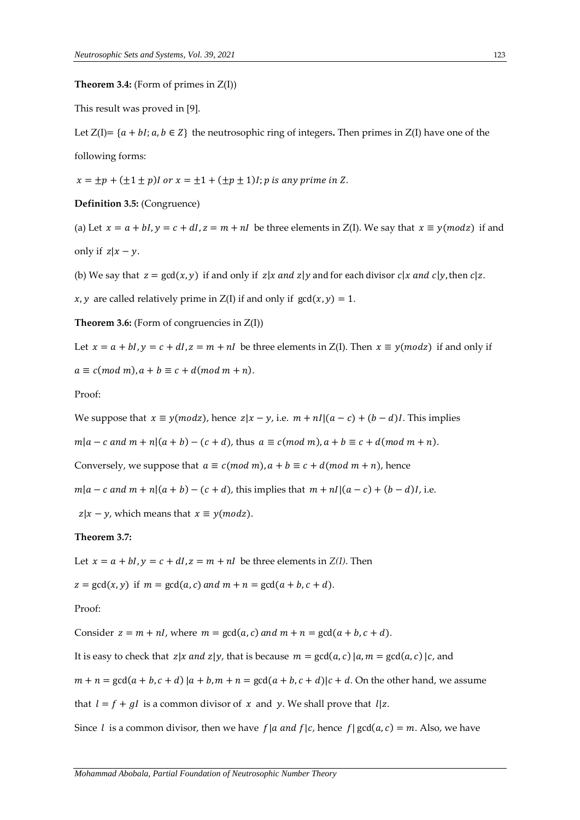#### **Theorem 3.4:** (Form of primes in  $Z(I)$ )

This result was proved in [9].

Let  $Z(I) = \{a + bl; a, b \in Z\}$  the neutrosophic ring of integers. Then primes in  $Z(I)$  have one of the following forms:

 $x = \pm p + (\pm 1 \pm p)I$  or  $x = \pm 1 + (\pm p \pm 1)I$ ; p is any prime in Z.

**Definition 3.5:** (Congruence)

(a) Let  $x = a + bI$ ,  $y = c + dI$ ,  $z = m + nI$  be three elements in Z(I). We say that  $x \equiv y (mod z)$  if and only if  $z | x - y$ .

(b) We say that  $z = \gcd(x, y)$  if and only if  $z | x$  and  $z | y$  and for each divisor  $c | x$  and  $c | y$ , then  $c | z$ .

 $x, y$  are called relatively prime in  $Z(I)$  if and only if  $gcd(x, y) = 1$ .

**Theorem 3.6:** (Form of congruencies in  $Z(I)$ )

Let  $x = a + bI$ ,  $y = c + dI$ ,  $z = m + nI$  be three elements in  $Z(I)$ . Then  $x \equiv y (mod z)$  if and only if  $a \equiv c \pmod{m}$ ,  $a + b \equiv c + d \pmod{m + n}$ .

Proof:

We suppose that  $x \equiv y (mod z)$ , hence  $z | x - y$ , i.e.  $m + nI/(a - c) + (b - d)I$ . This implies

 $m|a - c$  and  $m + n|(a + b) - (c + d)$ , thus  $a \equiv c \pmod{m}$ ,  $a + b \equiv c + d \pmod{m + n}$ .

Conversely, we suppose that  $a \equiv c \pmod{m}$ ,  $a + b \equiv c + d \pmod{m + n}$ , hence

 $m|a - c$  and  $m + n|(a + b) - (c + d)$ , this implies that  $m + n/(a - c) + (b - d)I$ , i.e.

 $|z|x - y|$ , which means that  $x \equiv y (mod z)$ .

### **Theorem 3.7:**

Let  $x = a + bI$ ,  $y = c + dI$ ,  $z = m + nI$  be three elements in *Z(I)*. Then

 $z = \gcd(x, y)$  if  $m = \gcd(a, c)$  and  $m + n = \gcd(a + b, c + d)$ .

#### Proof:

Consider  $z = m + nl$ , where  $m = \text{gcd}(a, c)$  and  $m + n = \text{gcd}(a + b, c + d)$ .

It is easy to check that  $z | x$  and  $z | y$ , that is because  $m = \text{gcd}(a, c) | a, m = \text{gcd}(a, c) | c$ , and

 $m + n = \gcd(a + b, c + d) | a + b, m + n = \gcd(a + b, c + d) | c + d$ . On the other hand, we assume

that  $l = f + gl$  is a common divisor of x and y. We shall prove that  $l | z$ .

Since *l* is a common divisor, then we have  $f | a$  and  $f | c$ , hence  $f | gcd(a, c) = m$ . Also, we have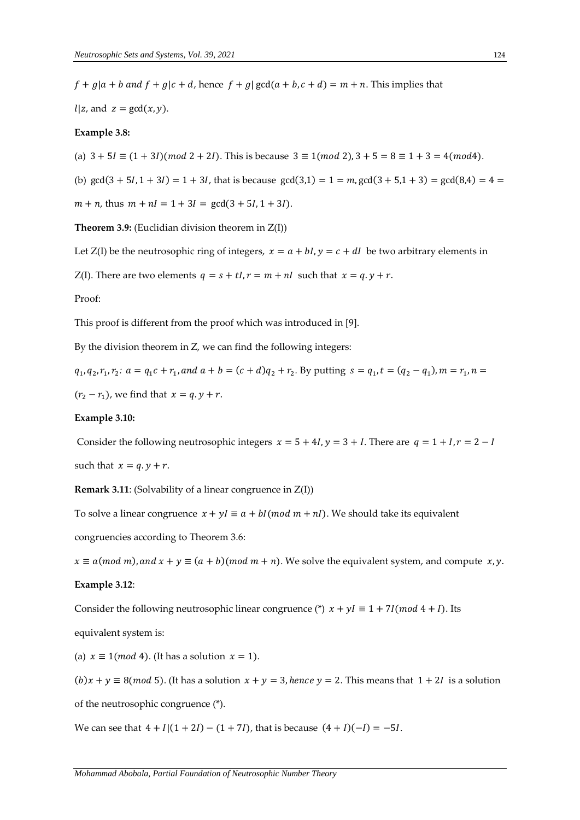$f + g | a + b$  and  $f + g | c + d$ , hence  $f + g | gcd(a + b, c + d) = m + n$ . This implies that

 $l | z$ , and  $z = \gcd(x, y)$ .

## **Example 3.8:**

(a)  $3 + 5I \equiv (1 + 3I)(mod 2 + 2I)$ . This is because  $3 \equiv 1(mod 2)$ ,  $3 + 5 = 8 \equiv 1 + 3 = 4(mod 4)$ .

(b)  $gcd(3 + 5l, 1 + 3l) = 1 + 3l$ , that is because  $gcd(3,1) = 1 = m$ ,  $gcd(3 + 5,1 + 3) = gcd(8,4) = 4$ 

 $m + n$ , thus  $m + nI = 1 + 3I = \gcd(3 + 5I, 1 + 3I)$ .

**Theorem 3.9:** (Euclidian division theorem in Z(I))

Let Z(I) be the neutrosophic ring of integers,  $x = a + bI$ ,  $y = c + dI$  be two arbitrary elements in

Z(I). There are two elements  $q = s + tI$ ,  $r = m + nI$  such that  $x = q$ .  $y + r$ .

#### Proof:

This proof is different from the proof which was introduced in [9].

By the division theorem in Z, we can find the following integers:

 $q_1, q_2, r_1, r_2$ :  $a = q_1 c + r_1$ , and  $a + b = (c + d)q_2 + r_2$ . By putting  $s = q_1, t = (q_2 - q_1)$ ,  $m = r_1, n =$ 

 $(r_2 - r_1)$ , we find that  $x = q. y + r$ .

#### **Example 3.10:**

Consider the following neutrosophic integers  $x = 5 + 4I$ ,  $y = 3 + I$ . There are  $q = 1 + I$ ,  $r = 2 - I$ such that  $x = q$ ,  $y + r$ .

**Remark 3.11**: (Solvability of a linear congruence in Z(I))

To solve a linear congruence  $x + yI \equiv a + bl (mod m + nI)$ . We should take its equivalent

congruencies according to Theorem 3.6:

 $x \equiv a (mod \ m)$ , and  $x + y \equiv (a + b) (mod \ m + n)$ . We solve the equivalent system, and compute x, y.

#### **Example 3.12**:

Consider the following neutrosophic linear congruence (\*)  $x + yI \equiv 1 + 7I (mod 4 + I)$ . Its

equivalent system is:

(a)  $x \equiv 1 \pmod{4}$ . (It has a solution  $x = 1$ ).

 $(b)x + y \equiv 8 \pmod{5}$ . (It has a solution  $x + y = 3$ , hence  $y = 2$ . This means that  $1 + 2i$  is a solution of the neutrosophic congruence (\*).

We can see that  $4 + I[(1 + 2I) - (1 + 7I)$ , that is because  $(4 + I)(-I) = -5I$ .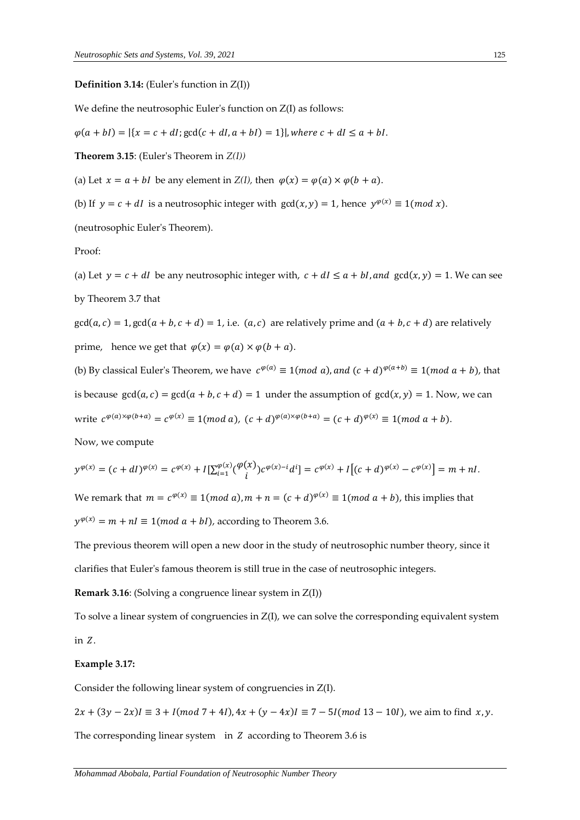#### **Definition 3.14:** (Euler's function in Z(I))

We define the neutrosophic Euler's function on  $Z(I)$  as follows:

 $\varphi(a + bl) = |\{x = c + dl\}|\gcd(c + dl, a + bl) = 1\}|$ , where  $c + dl \le a + bl$ .

**Theorem 3.15**: (Euler's Theorem in *Z(I))*

(a) Let  $x = a + bI$  be any element in  $Z(I)$ , then  $\varphi(x) = \varphi(a) \times \varphi(b + a)$ .

(b) If  $y = c + dI$  is a neutrosophic integer with  $gcd(x, y) = 1$ , hence  $y^{\varphi(x)} \equiv 1 (mod x)$ .

(neutrosophic Euler's Theorem).

## Proof:

(a) Let  $y = c + dI$  be any neutrosophic integer with,  $c + dI \le a + bI$ , and  $gcd(x, y) = 1$ . We can see by Theorem 3.7 that

 $gcd(a, c) = 1, gcd(a + b, c + d) = 1$ , i.e.  $(a, c)$  are relatively prime and  $(a + b, c + d)$  are relatively prime, hence we get that  $\varphi(x) = \varphi(a) \times \varphi(b + a)$ .

(b) By classical Euler's Theorem, we have  $c^{\varphi(a)} \equiv 1 (mod \ a)$ , and  $(c + d)^{\varphi(a+b)} \equiv 1 (mod \ a+b)$ , that is because  $gcd(a, c) = gcd(a + b, c + d) = 1$  under the assumption of  $gcd(x, y) = 1$ . Now, we can write  $c^{\varphi(a)\times\varphi(b+a)} = c^{\varphi(x)} \equiv 1 \pmod{a}$ ,  $(c+d)^{\varphi(a)\times\varphi(b+a)} = (c+d)^{\varphi(x)} \equiv 1 \pmod{a+b}$ .

Now, we compute

$$
y^{\varphi(x)} = (c + dI)^{\varphi(x)} = c^{\varphi(x)} + I[\sum_{i=1}^{\varphi(x)} (\frac{\varphi(x)}{i}) c^{\varphi(x) - i} d^i] = c^{\varphi(x)} + I[(c + d)^{\varphi(x)} - c^{\varphi(x)}] = m + nI.
$$

We remark that  $m = c^{\varphi(x)} \equiv 1 (mod \ a)$ ,  $m + n = (c + d)^{\varphi(x)} \equiv 1 (mod \ a + b)$ , this implies that  $y^{\varphi(x)} = m + nI \equiv 1 \pmod{a + bl}$ , according to Theorem 3.6.

The previous theorem will open a new door in the study of neutrosophic number theory, since it clarifies that Euler's famous theorem is still true in the case of neutrosophic integers.

**Remark 3.16**: (Solving a congruence linear system in Z(I))

To solve a linear system of congruencies in Z(I), we can solve the corresponding equivalent system in  $Z$ .

### **Example 3.17:**

Consider the following linear system of congruencies in Z(I).

 $2x + (3y - 2x)I \equiv 3 + I(mod 7 + 4I),$   $4x + (y - 4x)I \equiv 7 - 5I(mod 13 - 10I)$ , we aim to find  $x, y$ .

The corresponding linear system in  $Z$  according to Theorem 3.6 is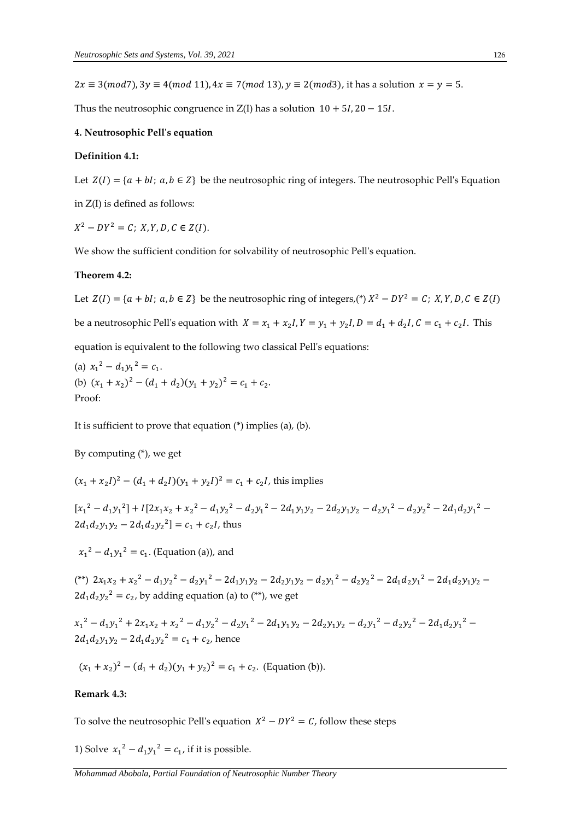$2x \equiv 3 \pmod{7}$ ,  $3y \equiv 4 \pmod{11}$ ,  $4x \equiv 7 \pmod{13}$ ,  $y \equiv 2 \pmod{3}$ , it has a solution  $x = y = 5$ .

Thus the neutrosophic congruence in  $Z(I)$  has a solution  $10 + 5I$ ,  $20 - 15I$ .

### **4. Neutrosophic Pell's equation**

#### **Definition 4.1:**

Let  $Z(I) = \{a + bl; a, b \in Z\}$  be the neutrosophic ring of integers. The neutrosophic Pell's Equation in Z(I) is defined as follows:

 $X^2 - DY^2 = C$ ;  $X, Y, D, C \in Z(I)$ .

We show the sufficient condition for solvability of neutrosophic Pell's equation.

#### **Theorem 4.2:**

Let  $Z(I) = \{a + bl; a, b \in Z\}$  be the neutrosophic ring of integers,(\*)  $X^2 - DY^2 = C$ ;  $X, Y, D, C \in Z(I)$ be a neutrosophic Pell's equation with  $X = x_1 + x_2 I$ ,  $Y = y_1 + y_2 I$ ,  $D = d_1 + d_2 I$ ,  $C = c_1 + c_2 I$ . This equation is equivalent to the following two classical Pell's equations:

(a)  $x_1^2 - d_1 y_1^2 = c_1$ . (b)  $(x_1 + x_2)^2 - (d_1 + d_2)(y_1 + y_2)^2 = c_1 + c_2$ . Proof:

It is sufficient to prove that equation (\*) implies (a), (b).

By computing (\*), we get

$$
(x_1 + x_2 I)^2 - (d_1 + d_2 I)(y_1 + y_2 I)^2 = c_1 + c_2 I
$$
, this implies

 $[x_1^2 - d_1y_1^2] + I[2x_1x_2 + x_2^2 - d_1y_2^2 - d_2y_1^2 - 2d_1y_1y_2 - 2d_2y_1y_2 - d_2y_1^2 - d_2y_2^2 - 2d_1d_2y_1^2 2d_1d_2y_1y_2 - 2d_1d_2y_2^2$  =  $c_1 + c_2I$ , thus

 $x_1^2 - d_1 y_1^2 = c_1$ . (Equation (a)), and

(\*\*)  $2x_1x_2 + x_2^2 - d_1y_2^2 - d_2y_1^2 - 2d_1y_1y_2 - 2d_2y_1y_2 - d_2y_1^2 - d_2y_2^2 - 2d_1d_2y_1^2 - 2d_1d_2y_1y_2 2d_1d_2y_2^2 = c_2$ , by adding equation (a) to (\*\*), we get

 $x_1^2 - d_1y_1^2 + 2x_1x_2 + x_2^2 - d_1y_2^2 - d_2y_1^2 - 2d_1y_1y_2 - 2d_2y_1y_2 - d_2y_1^2 - d_2y_2^2 - 2d_1d_2y_1^2$  $2d_1d_2y_1y_2 - 2d_1d_2y_2^2 = c_1 + c_2$ , hence

$$
(x_1 + x_2)^2 - (d_1 + d_2)(y_1 + y_2)^2 = c_1 + c_2.
$$
 (Equation (b)).

#### **Remark 4.3:**

To solve the neutrosophic Pell's equation  $X^2 - DY^2 = C$ , follow these steps

1) Solve  $x_1^2 - d_1y_1^2 = c_1$ , if it is possible.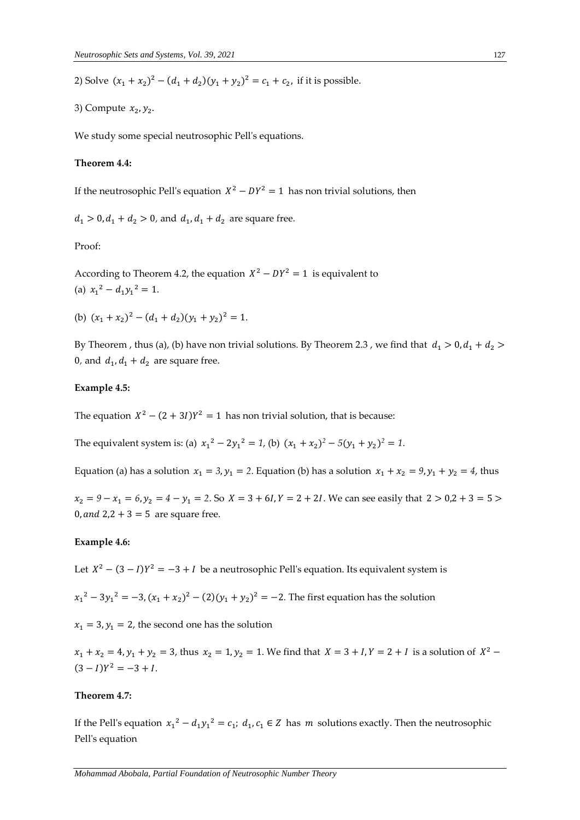2) Solve  $(x_1 + x_2)^2 - (d_1 + d_2)(y_1 + y_2)^2 = c_1 + c_2$ , if it is possible.

3) Compute  $x_2, y_2$ .

We study some special neutrosophic Pell's equations.

#### **Theorem 4.4:**

If the neutrosophic Pell's equation  $X^2 - DY^2 = 1$  has non trivial solutions, then

 $d_1 > 0, d_1 + d_2 > 0$ , and  $d_1, d_1 + d_2$  are square free.

Proof:

According to Theorem 4.2, the equation  $X^2 - DY^2 = 1$  is equivalent to (a)  $x_1^2 - d_1y_1^2 = 1$ .

(b)  $(x_1 + x_2)^2 - (d_1 + d_2)(y_1 + y_2)^2 = 1$ .

By Theorem , thus (a), (b) have non trivial solutions. By Theorem 2.3 , we find that  $d_1 > 0$ ,  $d_1 + d_2 >$ 0, and  $d_1$ ,  $d_1 + d_2$  are square free.

## **Example 4.5:**

The equation  $X^2 - (2 + 3I)Y^2 = 1$  has non trivial solution, that is because:

The equivalent system is: (a)  $x_1^2 - 2y_1^2 = 1$ , (b)  $(x_1 + x_2)^2 - 5(y_1 + y_2)^2 = 1$ .

Equation (a) has a solution  $x_1 = 3$ ,  $y_1 = 2$ . Equation (b) has a solution  $x_1 + x_2 = 9$ ,  $y_1 + y_2 = 4$ , thus

 $x_2 = 9 - x_1 = 6, y_2 = 4 - y_1 = 2$ . So  $X = 3 + 6I$ ,  $Y = 2 + 2I$ . We can see easily that  $2 > 0.2 + 3 = 5 >$ 0, and  $2,2 + 3 = 5$  are square free.

### **Example 4.6:**

Let  $X^2 - (3 - I)Y^2 = -3 + I$  be a neutrosophic Pell's equation. Its equivalent system is

 $x_1^2 - 3y_1^2 = -3$ ,  $(x_1 + x_2)^2 - (2)(y_1 + y_2)^2 = -2$ . The first equation has the solution

 $x_1 = 3$ ,  $y_1 = 2$ , the second one has the solution

 $x_1 + x_2 = 4$ ,  $y_1 + y_2 = 3$ , thus  $x_2 = 1$ ,  $y_2 = 1$ . We find that  $X = 3 + I$ ,  $Y = 2 + I$  is a solution of  $X^2$  –  $(3 – I)Y^2 = -3 + I$ .

## **Theorem 4.7:**

If the Pell's equation  $x_1^2 - d_1y_1^2 = c_1$ ;  $d_1, c_1 \in \mathbb{Z}$  has m solutions exactly. Then the neutrosophic Pell's equation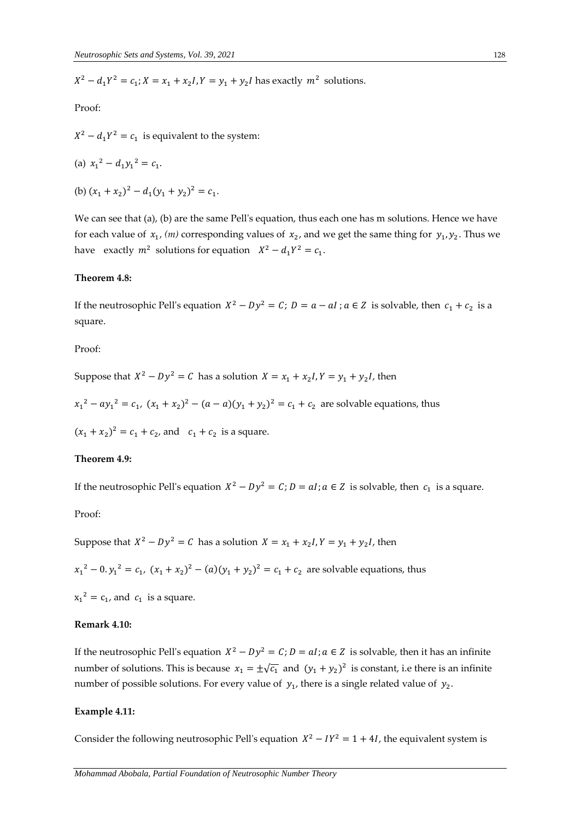$X^2 - d_1 Y^2 = c_1$ ;  $X = x_1 + x_2 I$ ,  $Y = y_1 + y_2 I$  has exactly  $m^2$  solutions.

Proof:

 $X^2 - d_1 Y^2 = c_1$  is equivalent to the system:

(a) 
$$
x_1^2 - d_1y_1^2 = c_1
$$
.

(b)  $(x_1 + x_2)^2 - d_1(y_1 + y_2)^2 = c_1$ .

We can see that (a), (b) are the same Pell's equation, thus each one has m solutions. Hence we have for each value of  $x_1$ , (*m*) corresponding values of  $x_2$ , and we get the same thing for  $y_1, y_2$ . Thus we have exactly  $m^2$  solutions for equation  $X^2 - d_1 Y^2 = c_1$ .

#### **Theorem 4.8:**

If the neutrosophic Pell's equation  $X^2 - Dy^2 = C$ ;  $D = a - aI$ ;  $a \in Z$  is solvable, then  $c_1 + c_2$  is a square.

Proof:

Suppose that  $X^2 - Dy^2 = C$  has a solution  $X = x_1 + x_2I$ ,  $Y = y_1 + y_2I$ , then

 $x_1^2 - ay_1^2 = c_1$ ,  $(x_1 + x_2)^2 - (a - a)(y_1 + y_2)^2 = c_1 + c_2$  are solvable equations, thus

 $(x_1 + x_2)^2 = c_1 + c_2$ , and  $c_1 + c_2$  is a square.

#### **Theorem 4.9:**

If the neutrosophic Pell's equation  $X^2 - Dy^2 = C$ ;  $D = aI$ ;  $a \in Z$  is solvable, then  $c_1$  is a square.

Proof:

Suppose that  $X^2 - Dy^2 = C$  has a solution  $X = x_1 + x_2I$ ,  $Y = y_1 + y_2I$ , then

 $x_1^2 - 0. y_1^2 = c_1, (x_1 + x_2)^2 - (a)(y_1 + y_2)^2 = c_1 + c_2$  are solvable equations, thus

 $x_1^2 = c_1$ , and  $c_1$  is a square.

#### **Remark 4.10:**

If the neutrosophic Pell's equation  $X^2 - Dy^2 = C$ ;  $D = aI$ ;  $a \in Z$  is solvable, then it has an infinite number of solutions. This is because  $x_1 = \pm \sqrt{c_1}$  and  $(y_1 + y_2)^2$  is constant, i.e there is an infinite number of possible solutions. For every value of  $y_1$ , there is a single related value of  $y_2$ .

## **Example 4.11:**

Consider the following neutrosophic Pell's equation  $X^2 - IY^2 = 1 + 4I$ , the equivalent system is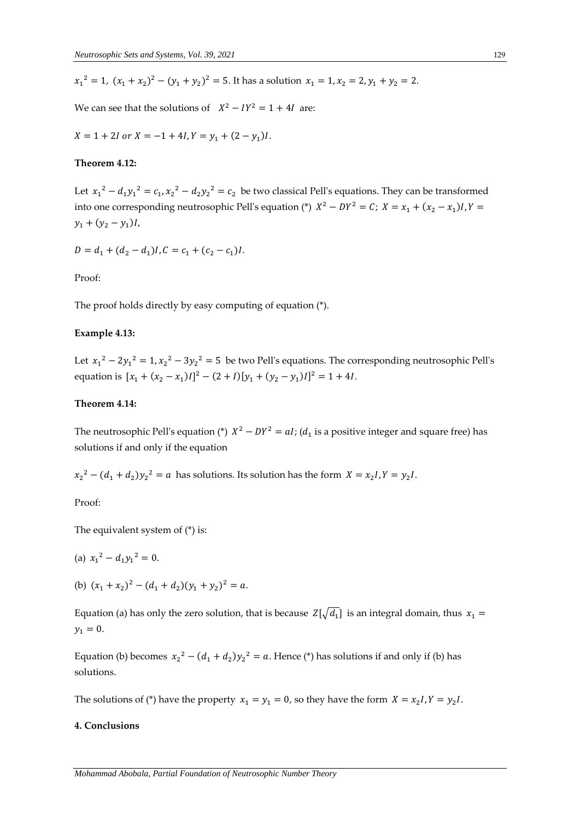$$
x_1^2 = 1
$$
,  $(x_1 + x_2)^2 - (y_1 + y_2)^2 = 5$ . It has a solution  $x_1 = 1$ ,  $x_2 = 2$ ,  $y_1 + y_2 = 2$ .

We can see that the solutions of  $X^2 - IY^2 = 1 + 4I$  are:

$$
X = 1 + 2I \text{ or } X = -1 + 4I, Y = y_1 + (2 - y_1)I.
$$

#### **Theorem 4.12:**

Let  $x_1^2 - d_1y_1^2 = c_1, x_2^2 - d_2y_2^2 = c_2$  be two classical Pell's equations. They can be transformed into one corresponding neutrosophic Pell's equation (\*)  $X^2 - DY^2 = C$ ;  $X = x_1 + (x_2 - x_1)I$ ,  $Y =$  $y_1 + (y_2 - y_1)I$ 

$$
D = d_1 + (d_2 - d_1)I, C = c_1 + (c_2 - c_1)I.
$$

#### Proof:

The proof holds directly by easy computing of equation (\*).

#### **Example 4.13:**

Let  $x_1^2 - 2y_1^2 = 1$ ,  $x_2^2 - 3y_2^2 = 5$  be two Pell's equations. The corresponding neutrosophic Pell's equation is  $[x_1 + (x_2 - x_1)I]^2 - (2 + I)[y_1 + (y_2 - y_1)I]^2 = 1 + 4I$ .

## **Theorem 4.14:**

The neutrosophic Pell's equation (\*)  $X^2 - DY^2 = aI$ ; ( $d_1$  is a positive integer and square free) has solutions if and only if the equation

 $x_2^2 - (d_1 + d_2)y_2^2 = a$  has solutions. Its solution has the form  $X = x_2I, Y = y_2I$ .

Proof:

The equivalent system of (\*) is:

(a) 
$$
x_1^2 - d_1 y_1^2 = 0
$$
.

(b)  $(x_1 + x_2)^2 - (d_1 + d_2)(y_1 + y_2)^2 = a$ .

Equation (a) has only the zero solution, that is because  $\ Z[\sqrt{d_1}]$  is an integral domain, thus  $\ x_1 =$  $y_1 = 0.$ 

Equation (b) becomes  $x_2^2 - (d_1 + d_2)y_2^2 = a$ . Hence (\*) has solutions if and only if (b) has solutions.

The solutions of (\*) have the property  $x_1 = y_1 = 0$ , so they have the form  $X = x_2 I$ ,  $Y = y_2 I$ .

## **4. Conclusions**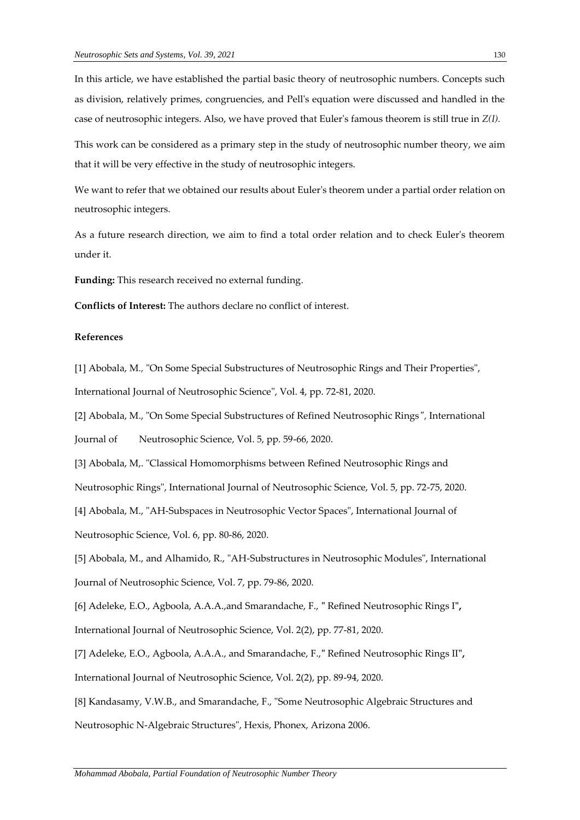In this article, we have established the partial basic theory of neutrosophic numbers. Concepts such as division, relatively primes, congruencies, and Pell's equation were discussed and handled in the case of neutrosophic integers. Also, we have proved that Euler's famous theorem is still true in *Z(I).*

This work can be considered as a primary step in the study of neutrosophic number theory, we aim that it will be very effective in the study of neutrosophic integers.

We want to refer that we obtained our results about Euler's theorem under a partial order relation on neutrosophic integers.

As a future research direction, we aim to find a total order relation and to check Euler's theorem under it.

**Funding:** This research received no external funding.

**Conflicts of Interest:** The authors declare no conflict of interest.

## **References**

[1] Abobala, M*.,* "On Some Special Substructures of Neutrosophic Rings and Their Properties", International Journal of Neutrosophic Science", Vol. 4, pp. 72-81, 2020.

[2] Abobala, M., "On Some Special Substructures of Refined Neutrosophic Rings*",* International

Journal of Neutrosophic Science, Vol. 5, pp. 59-66, 2020.

[3] Abobala, M,. "Classical Homomorphisms between Refined Neutrosophic Rings and

Neutrosophic Rings", International Journal of Neutrosophic Science, Vol. 5, pp. 72-75, 2020.

[4] Abobala, M., "AH-Subspaces in Neutrosophic Vector Spaces", International Journal of

Neutrosophic Science, Vol. 6, pp. 80-86, 2020.

[5] Abobala, M., and Alhamido, R., "AH-Substructures in Neutrosophic Modules", International Journal of Neutrosophic Science, Vol. 7, pp. 79-86, 2020.

[6] Adeleke, E.O., Agboola, A.A.A.,and Smarandache, F., **"** Refined Neutrosophic Rings I**",** International Journal of Neutrosophic Science, Vol. 2(2), pp. 77-81, 2020.

[7] Adeleke, E.O., Agboola, A.A.A., and Smarandache, F.,**"** Refined Neutrosophic Rings II**",** International Journal of Neutrosophic Science, Vol. 2(2), pp. 89-94, 2020.

[8] Kandasamy, V.W.B., and Smarandache, F., "Some Neutrosophic Algebraic Structures and Neutrosophic N-Algebraic Structures", Hexis, Phonex, Arizona 2006.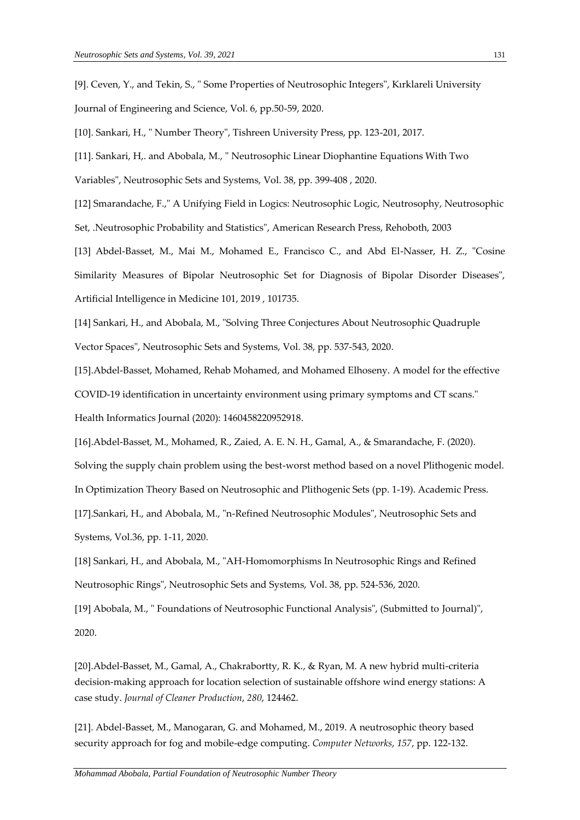[9]. Ceven, Y., and Tekin, S., " Some Properties of Neutrosophic Integers", Kırklareli University Journal of Engineering and Science, Vol. 6, pp.50-59, 2020.

[10]. Sankari, H., " Number Theory", Tishreen University Press, pp. 123-201, 2017.

[11]. Sankari, H,. and Abobala, M., " Neutrosophic Linear Diophantine Equations With Two

Variables", Neutrosophic Sets and Systems, Vol. 38, pp. 399-408 , 2020.

[12] Smarandache, F.," A Unifying Field in Logics: Neutrosophic Logic, Neutrosophy, Neutrosophic

Set, .Neutrosophic Probability and Statistics", American Research Press, Rehoboth, 2003

[13] Abdel-Basset, M., Mai M., Mohamed E., Francisco C., and Abd El-Nasser, H. Z., "Cosine Similarity Measures of Bipolar Neutrosophic Set for Diagnosis of Bipolar Disorder Diseases", Artificial Intelligence in Medicine 101, 2019 , 101735.

[14] Sankari, H., and Abobala, M., "Solving Three Conjectures About Neutrosophic Quadruple Vector Spaces", Neutrosophic Sets and Systems, Vol. 38, pp. 537-543, 2020.

[15].Abdel-Basset, Mohamed, Rehab Mohamed, and Mohamed Elhoseny. A model for the effective COVID-19 identification in uncertainty environment using primary symptoms and CT scans." Health Informatics Journal (2020): 1460458220952918.

[16].Abdel-Basset, M., Mohamed, R., Zaied, A. E. N. H., Gamal, A., & Smarandache, F. (2020).

Solving the supply chain problem using the best-worst method based on a novel Plithogenic model.

In Optimization Theory Based on Neutrosophic and Plithogenic Sets (pp. 1-19). Academic Press.

[17].Sankari, H., and Abobala, M., "n-Refined Neutrosophic Modules", Neutrosophic Sets and Systems, Vol.36, pp. 1-11, 2020.

[18] Sankari, H., and Abobala, M., "AH-Homomorphisms In Neutrosophic Rings and Refined Neutrosophic Rings", Neutrosophic Sets and Systems, Vol. 38, pp. 524-536, 2020.

[19] Abobala, M., " Foundations of Neutrosophic Functional Analysis", (Submitted to Journal)", 2020.

[20].Abdel-Basset, M., Gamal, A., Chakrabortty, R. K., & Ryan, M. A new hybrid multi-criteria decision-making approach for location selection of sustainable offshore wind energy stations: A case study. *Journal of Cleaner Production*, *280*, 124462.

[21]. Abdel-Basset, M., Manogaran, G. and Mohamed, M., 2019. A neutrosophic theory based security approach for fog and mobile-edge computing. *Computer Networks*, *157*, pp. 122-132.